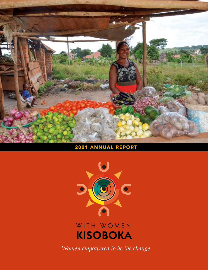

### 2021 ANNUAL REPORT



## WITH WOMEN **KISOBOKA**

*Women empowered to be the change*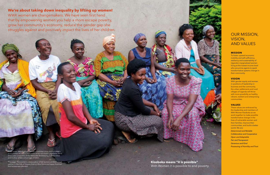## OUR MISSION, VISION, AND VALUES

#### **MISSION**

To foster upward economic mobility and self-sufficiency, resiliency and sustainability of Uganda's marginalized women living at the lowest income level who are prime agents to spark transformative systems change in their community.

#### **VISION**

With gender equity and women in positions of leadership in business and the community, the urban settlements and rural villages of Uganda will thrive with more possibility as healthy, vibrant, resilient and enterprising communities.

#### **VALUES**

 $\overline{\rm over: M}$ ukabaziga Sabinah, a member since 2019 of WWK's local partner ACCESS in Nakaseke at her successful vegetable stand. She is also a member of the Nakaseke Beekeeping Collaborative and mother of two school age children.

These values are embraced by the leadership and members of With Women Kisoboka as we work together to make possible transformative change in the lives of vulnerable women and their families, improve their communities, and build a better world. We are:

*Determined and Reliable Collaborative and Cooperative Open and Adaptable Fair and Transparent Generous and Kind Possessing of Humility and Trust*

**Kisoboka means "it is possible"** With Women it is possible to end poverty.



This page: The women's collaborative of fish farmers at WWK's local partner in the hills of Kasese District, Bliss Feme are happy that their first harvest was plentiful.

### **We're about taking down inequality by lifting up women!**

WWK women are changemakers. We have seen first hand that by empowering women you help a mom escape poverty, grow her community's economy, reduce the gender gap she struggles against and positively impact the lives of her children.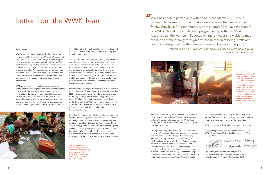## Letter from the WWK Team

The first meeting of a village savings and loan association (VSLA) among the women of WWK's local partner in Kiboga, the Bujagala Kisoboka Women's Group

WWK has been in partnership with AKWG since March 2021. In our community, women struggle to take care and meet the needs of their family. They have for generations. We are so grateful to have the benefit of WWK's interest free capital loan program along with new VSLAs. In just one year, the women in Kayunga Village, Jinga are now able to meet the needs of their family through new businesses in tailoring, crafts and poultry rearing—they see their entrepreneurial dreams coming true!" — Mutesi Shaminah, Program Lead, Abakyala Kisoboka Women's Group, a local partner of WWK *"*



#### Dear Friends,

With Women Kisoboka (WWK) works daily to confront inequality by lifting up women. WWK has witnessed that real, dramatic and sustainable change within society will occur when women are economically empowered. We see that there is a path through empowerment to rise out of poverty, to live a dignified life, and to have freedom of personal choice. When empowered women connect with each other, they begin to imagine possibilities, and they work hard to build new lives and strengthen their community for the sake of their children and future generations.

Mwende Florence, pictured here selling rice cakes with her daughter, is already on her third IFC (interest-free capital) loan in just one year, as a member of WWK's newest local partner the Abakyala Kisoboka Women's Group (AKWG) in Kayunga Village, Jinja District. With her first access to capital she started a successful retail **business** 

WWK strives to achieve female empowerment even during the most challenging times because we recognize the urgency. We see resilient women embracing leadership and a clear path for an equal future, even in a Covid-19 world. The community of remarkable, yet vulnerable-only-by-circumstance women know well, all day, every day, that they must be aware and responsible for their own thoughts and actions. They understand that



which are supported by WWK and established and run by women-led cooperatives. This is a critical gateway to formal financial inclusion, which the World Bank recognizes as the "key enabler of reducing poverty and boosting prosperity".

Through WWK programs, nearly 2,800 lives continue to improve. We are expanding our programming capacity as WWK continues to build supportive partnerships which help us to grow leadership skills among our NGO and local partners with [Creative Action Institute,](https://www.creativeactioninstitute.org) develop solutions to gender based violence and sexual reproductive health with [Girl Up Initiative Uganda](https://www.girlupuganda.org), and access capital and create a culture of savings among our women members with the Uganda fintech company [Ensibuuko.](https://ensibuuko.com) During the fourth quarter of 2021, in addition to bringing best practices to WWK VSLAs, Ensibuuko

launched digital literacy training for the participating women. The women continue to express deep gratitude knowing of the changes in the world around them.

WWK is pushing the horizon for real change to happen.

Always with gratitude, and on behalf of the NGO, the WWK-US and WWK-UG Boards of Directors, and WWK local partners,



NALUKWAGO Anniah Navayy

April Stone, *Founder and President, WWK-US* Nalukwago Milly, *Executive Director, WWK-UG* Nakayiza, Aminah, *Program Director, WWK-UG*

this will bring the change that will improve their lives and the lives of their children. They recognize that they need to make change happen.

2021 was another challenging year during which Uganda experienced its second wave of the pandemic and a second government-ordered lockdown. As a result, cost increases impacted nearly every aspect of life. For the marginalized and vulnerable, however, the challenge was amplified as the ability to meet basic needs became more difficult with the rising costs of food, fuel, transport, mobile airtime and land which for some of our families became prohibitively expensive. For others, successful livelihoods were upended.

Despite these challenges, we were able to move forward in 2021 because of the growing capacity of the Ugandan NGO, our community partners and the women members of our organization. WWK's first funding partner, the [Arthur B. Schultz Foundation](https://absfoundation.org), continued to fund data and airtime for the NGO to hold monthly video calls with all local partners, which are essential for organizational efficiencies, communications, collaboration, and knowledge sharing.

Based on the interests identified by our local partners, we facilitated knowledge sharing among our local partners enabling them to start new projects in beekeeping, fish farming, renewable briquettes for clean cooking, liquid soap making, poultry rearing and kitchen gardening with access to safe water (supported by the Arthur B. Schultz Foundation & [WIL Philadelphia](https://www.wil-gp.org)). The success of these businesses enabled WWK women to save for the first time and join VSLAs (Village Savings & Loan Associations),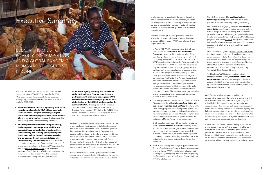## Executive Summary

Even with the June 2021 lockdown which started with the second wave of COVID-19 in Uganda, the WWK NGO team managed to make substantial progress. Strategically, we moved forward with three of our five goals for 2020–2023.

- **To further access to capital as a gateway to financial inclusion, we launched a VSLA (village savings & loan association) program that brought digital literacy and leadership opportunities to the women of our local partners.** We achieved this in partnership with the Ugandan Fintech company Ensibuuko.
- **To offer opportunities to learn entrepreneurship, leadership and community-centered skills, we promoted knowledge sharing of best practices in beekeeping, fish farming, poultry rearing and liquid soap making through video conferencing and by having different community leads join the NGO during community visits.** The NGO also is continuing to train and reinforce the eight modules of entrepreneurship learning through WWK's partnership with the [Street Business School](https://www.streetbusinessschool.org). And, within the structure of the VSLAs, the NGO is emphasizing among the women leaders of each VSLA the applicable leadership skills to improve their performance.
- **To empower agency, meaning and connection at the NGO and Local Program team level, our partnership with Ensibuuko has engaged WWK leadership in train-the-trainer programs for VSLA digitalization on their MOBIS platform during the summer of 2021.** This coupled with the Creative Collaboration for 21st Century Leaders course by Creative Action Institute (CAI) during the Fall 2020, has made a tremendous difference in the growth of the NGO and local partners leadership skills.

Additionally, we are happy to report that the NGO added a new local community partner in Jinja District, second, that WWK's local partner in Kasese District was granted funding from the Uganda Women's Empowerment program of the Ministry of Gender and Labor, and third, that WWK's local partner in Kabarole District launched a new and exciting tourism partnership with Planet Happiness. Furthermore, the NGO is building capacity! Richard Madrama was hired as the cashier in July 2021 to manage and improve financial systems and processes.

While 2021 was a year when Uganda experienced its second wave of the pandemic, which placed the country in lockdown for half the year and resulted in significant

challenges for the marginalized women —including cost increases in rent, food, fuel, transport, and data, for example—the NGO is continually working through context-driven, solution-based mitigation strategies to help our local community partners to sustainably move forward.

We are now through the first quarter of 2022 and are thrilled to report additional progress that is just underway. 2022 is clearly WWK's year of growth and digital inclusion! • In April 2022, WWK's network partner CAI will help

EVEN IN THE MIDST OF POVERTY, DISCRIMINATION AND A GLOBAL PANDEMIC, MOMS ARE STILL GETTING IT DONE!

- us to launch our **Graduation and Mentorship Program** with mentorship training of all staff and selected graduate mentors. This program is based on a policy developed in 2021 that is important to WWK's sustainability and growth. The program builds leadership skills for WWK mentors, who have moved beyond the interest-free capital (IFC) program and by doing so increase the chances of success of the mentees. The program creates openings for new participants and helps WWK scale within targeted communities. The Mentorship Program is consistent with WWK's model and draws on Uganda's cultural strength by asking successful WWK graduates to help new participants within their community make informed decisions about their actions to achieve program outcomes. The mentorship program will also provide graduates with an opportunity to grow as leaders in their communities.
- A woman participant of WWK's local partner in Kasese District received a **full-scholarship from CAI to join their highly regarded Sauti ya Dada** (translation: The Girl's Voice) program, which strengthens systems of support, learning and leadership in and out school to help marginalized girls in East Africa to complete their secondary school education. Magume Enid will be trained as a Mentor Fellow for her community.
- Ensibuuko has continued with completely digitizing WWK's path to **financial inclusion** by training the NGO and our local partners to digitize our IFC (interest-free capital) loan program, making it now possible for our women members to have their financial position completely documented as they move from unbanked to banked and engagement with financial service providers. If you haven't yet joined the WWK family of supporters, we invite you to do so. Let's end poverty in all its forms everywhere. 100% of your donation goes toward people and programs that show vulnerable women how their initiative and resourcefulness can be used to lift themselves from the dire circumstances of extreme poverty into a life of stability and financial independence.
- WWK is also working with a digital application for the [Scorocs Simple Poverty Scorecard](https://www.simplepovertyscorecard.com/UGA-2016-ENG.pdf) poverty assessment tool to enhance WWK's monitoring, evaluation and learning analytics capacity. This tool was designed by the former developer of the Poverty Probability Index (PPI), Mark Schreiner.
- The NGO has arranged for **continual online technology training** for its staff and WWK local partners to support their ongoing digital learning.
- WWK anticipates engaging an expert **adult literacy consultant** who will be piloting an assessment of our current program and coordinating with the recent redevelopment and rebranding of Uganda's Ministry of Gender and Labor (MGL) FAL (Functional Adult Literacy program) now called [ICOLEW](https://mglsd.go.ug/wp-content/uploads/2021/09/ICOLEW-IMPLEMENTATION-GUIDELINES-2-2.pdf) (Integrated Community Learning for Wealth Creation). FAL is critical to business success, as English is the language of business in Uganda.
- Most recently, as Uganda's [Parish Development Model](https://www.masindi.go.ug/sites/default/files/Implementation_Guidelines_for_FOR__PARISH_MODEL_OPERATION%5B1%5D.pdf) is being implemented through local governments across the country to further sustainable development at the grassroots level, WWK is exceptionally proud to announce the Nakayiza Aminah, Program Director of the WWK NGO was asked to join the Ward Administrators Team of the Kampala Capital City Authority (KCCA) Rubaga Division!
- And finally, as WWK is becoming increasingly recognized in the country for **women's economic empowerment**, the NGO leadership and the WWK program lead in the Jinga community were invited by Stanbic Bank Women's Forum, For Her, in honor of International Women's Day.

With Women Kisoboka creates possibility by empowering marginalized women and by working with local urban settlements and rural villages in Uganda to build skills that unleash economic potential. We recognize that when women lack basic necessities and economic well-being, they also lack personal agency. We fully acknowledge that no women should be denied the ability to make strategic life choices. This is our work. We listen carefully and support marginalized women on their path to economic opportunity and participation.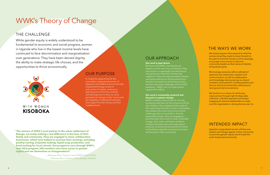**"The women of WWK's local partner in the urban settlement of Busega, are today making a real difference in the lives of their family and community. They are engaged in many collaborative businesses, which have helped to increase their earnings, including poultry-rearing, briquette-making, liquid-soap production, and book-making for local schools. Encouraged to save through WWK's new VSLA program, KNI members also have access to greater capital and see themselves as changemakers!"**

> *—Nakangu Mary, Program Lead, WWK's Local Partner, Kisoboka Nano Initiative (KNI), Busega, Kampala*

## OUR PURPOSE

We build programs that respond to what the women know they need to move forward on the path to financial inclusion and increasingly encourage more women to become community leaders as their sense of identity and purpose grow.

We leverage resources with an attitude of openness and awareness, outreach and communication, as well as collaboration and knowledge sharing among our board members, local partners, funding partners and donors, technical partnership networks and local government connections.

To create the opportunity for the vulnerable, marginalized women of Uganda to be healthy and economically empowered though access to and control of capital, continuous learning and community centered skill development so they can drive generational change in their community by engaging in sustained businesses that support the their family and their neighborhood.

We function in a culture of continuous improvement through right-fit deep data collection, a flexible approach and always engaging all relevant stakeholders to make sure the organization is doing what we say it is.

### THE WAYS WE WORK

### INTENDED IMPACT

Uganda's marginalized women will become leaders and change agents in their community to promote gender equity and to break the cycle of generational poverty.

### OUR APPROACH

#### **Our work is peer-driven**

We know that WWK's constituents are experts on their own lives and dreams. They have shown us repeatedly how they launch interventions to help their families and neighbors. They have demonstrated initiative and resourcefulness to lift themselves from the dire circumstances of extreme poverty and from the deep challenges of the COVID pandemic. WWK's role is to listen and to support their efforts.

#### **Our work is community-centered and focused on systems change.**

WWK's members have proven to not only recognize what they can do to improve life for their children, they understand the needs of the community and seek to work in businesses that address the social and environmental challenges that surround them. As bold resourceful women, they are engaging in jobs that help with access to clean renewable energy, clean water and better sanitation, nutritious food through smart agricultural practices, as well as producing school books and building materials to improve education and housing in their community.

## THE CHALLENGE

While gender equity is widely understood to be fundamental to economic and social progress, women in Uganda who live in the lowest income levels have continued to face discrimination and marginalization over generations. They have been denied dignity, the ability to make strategic life choices, and the opportunities to thrive economically.



# WWK's Theory of Change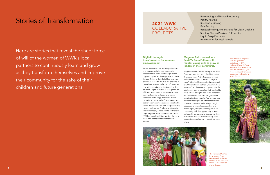

## Stories of Transformation

#### **Digital Literacy is transformative for women's empowerment**

As leaders in their VSLAs (Village Savings and Loan Associations), members in Kasese District share their delight as this opportunity is their first exposure to digital literacy. Thinking that digital learning was only for the well-to-do, they are growing in their determination to be part of the wider financial ecosystem for the benefit of their children. Digital inclusion is recognized on all fronts as a means to empower women through financial inclusion and access to mobile technology. For WWK, it also provides accurate and efficient means to gather information on the economic health of our participants. We owe this pivotal step to our local partner Ensibuuko, a Uganda fintech company whose MOBIS software is digitizing both WWK's interest-free capital (IFC) loans and the VSLAs, paving the path for formal financial inclusion for WWK women.

Here are stories that reveal the sheer force of will of the women of WWK's local partners to continuously learn and grow as they transform themselves and improve their community for the sake of their children and future generations.



The women of WWK's local partner Bliss Feme are all smiles as leaders of the their new VSLAs and learners of digital literacy.

#### **Mugume Enid, trained as a Sauti Ya Dada Fellow, will mentor young girls to grow as leaders in their community**

Mugume Enid of WWK's local partner Bliss Feme was awarded a scholarship to attend this year's Sauty Ya Dada program. Sauti ya Dada in translation means, "the girl's voice". It is a highly recognized program of of WWK's network partner, Creative Action Institute (CAI) that creates opportunities for adolescent girls to develop their leadership skills. Enid is being trained to be a mentor and teacher who will support girls in her marginalized community. As a mentor, she will help create girl-led after school clubs, promote safety and well-being through education on sexual reproduction and health rights, and provide the girls in her community with the opportunity to learn skills and knowledge vital to growing their leadership abilities and to develop their sense of personal agency to realize a beter

future.

WWK member Mugume Enid is a glow as a participant in CAI's acclaimed Sauti Ya Dada program. She can't wait to help the adolescent girls in her community embrace leadership and realize a better future.

- Beekeeping and Honey Processing
- Poultry Rearing
- Kitchen Gardening
- Fish Farming
- Renewable Briquette Marking for Clean Cooking
- Sanitary Napkin Provision & Education
- Liquid Soap Production
- Bookmaking for local schools

### **2021 WWK** COLLABORATIVE PROJECTS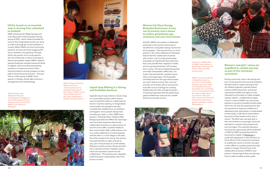#### **Women-led Clean Energy Briquette Businesses: A way out of poverty and a means to reduce greenhouse gas emissions and save local forests**

ACCESS, WWK's local partner in Nakaseke (pictured), is the second community to benefit from a briquette making machine for bio-briquettes. They learned from our local partner in the urban settlement of Kampala District that the collaborative business will cut their cost of cooking fuel (wastebriquettes are significantly less expensive than coal), benefit their neighbors' health, and as a growing business, will increase their income. The donut-shaped briquettes are made of discarded coffee hulls, rice husks, charcoal particles, sawdust, wood chips, and waste paper. The briquettes manufactured from this agricultural waste are much cleaner to burn than coal and provide communities with an economical and safer source of energy for cooking. Additionally, the CBO, through training is increasing awareness that the greenhouse gases emitted from charcoal are a health and environmental concern.



#### **Liquid Soap Making is a Strong and Profitable Business**

Uganda's liquid soap market is robust. Soap is a consumable product, which almost every household needs on a daily basis for hand or machine washing. In marginalized communities, the pandemic has also increased the needed focus on sanitation and hygiene. Since people always have something to wash or clean, WWK local partners —Kisoboka Nano Initiative (KNI), Busega (pictured) and ARKCCAO, Kyaninga each launched respective liquid soap collaborative business as a good source of income and to offer a product helpful to their communities. Both collaboratives, one in an urban settlement in Central Uganda and the other in a rural village in the west, found the market to be strong. The women have gained skills to make and sell six jerry cans of liquid soap at a profit weekly. Helping to assure success, the government has re-opened schools, hospitals, salons, which are important custoers for the collaborative. The business also integrates profit sharing for sustainability, which has proven to work!

#### **Women's and girls' voices are amplified to combat poverty as part of the menstrual movement**

During community visits in the spring and prior to the government's second lockdown, the NGO built on earlier training by Girl Up Initiative Uganda in gender-based violence (GBV) prevention, and sexual reproductive health and rights, to train interested communities to make reusable sanitary napkins. Collaboratives began to form in each of WWK's six community partners to produce reusable sanitary pads, which are not only less expensive but also are important to improve confidence in adolescent girls, particularly in marginalized communities, to talk about menstruation, be proud of their bodies and to stay in school. The NGO also met with girls in the communities to encourage continued education to prevent early pregnancies and marriages. This essential education and business opportunity will be furthered in 2022 by WWK's partnership with the Sacramento chapter of [Period.org,](https://period.org) a youth-led organization in the US that is on the forefront of the menstrual movement to amplify the voices of women and girls in their efforts to combat poverty through systemic change. Pictured here is the collaborative business of WWK's local partner in Kynaninga as they are learning how to make reusable sanitary pads.

#### **VSLA's launch as an essential step in moving from unbanked to banked!**

WWK introduced its Village Savings and Loan Association (VSLA) program during spring of 2021, which made it possible for many of the marginalized women we serve to make it through the Covid lockdown in country. Within WWK's six local community partners, we have 26 VSLAs engaging 451 of our members, and growing. Through VSLAs, the women of our local partners are now embracing a culture of savings as they access greater capital. WWK's network partner Ensibuuko recently trained all VSLAs to digitize, which provides participating members an historical record of their financial positions as they progress on their path to formal financial inclusion. Pictured here is a VSLA group at WWK's local partner in Kiboga, shortly after training in management and methodology.

WWK's community partner in Nakaseke rejoicing over their new briquette making machine to make bio-briquettes. Biomass briquettes are a renewable source of energy when they are made of agricultural by-products. They also burn cleaner than firewood, release less greenhouse gasses and help to reduce

deforestation.







WWK's Program Director Nakayiza Aminah demonstrating how to package liquid soap to the women of KNI's Liquid Soap Collaborative of the urban settlement in Busega, Kampala District.

A women's collaborative of WWK's local partner in Kynaninga is learning how how to make reusable

sanitary pads.

WWK Program lead Nakafeero Florence reviewing the management and methodology of VSLAs with the women of ACCESS, WWK's local partner in Nakaseke.

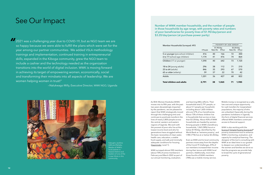## See Our Impact

As With Women Kisoboka (WWK) moves into its fifth year, with the past two years devastatingly impacted by the pandemic, we are pleased to report that WWK strategically moved through this challenging time and continues to positively transform the lives of nearly 2,800 people across the central, western and eastern regions of Uganda. We work with the poorest of poor who live at the lowest income level and who for generations have struggled without the basic necessities of clean water, health care, education, a stable food supply, and safe and minimally adequate conditions for housing. ([Gapminder](https://www.gapminder.org/fw/income-levels/income-level-1), Level 1).

WWK surveyed almost 500 members (about 70% of active members) in February and March 2022 as part of our annual monitoring, evaluation,

and learning (MEL) efforts. Their households total 2,791 people, or about 5.7 people per household, including about 1,600 children who are 57% of our beneficiaries. About 73% of these children live in households that survive on less than \$3.20/day. About 43% of WWK households are headed by women. Among people in WWK's beneficiary households, 1,065 (38%) live at or below \$1.90/day, identified by the World Bank as "extreme poverty', and 1,985 (71%) live at or below \$3.20/day.

Even as WWK and its local community partners move away from the depths of the Covid-19 challenges, 81% of our members increased their income during their tenure with WWK local partners. Additionally, more than three-fourths of WWK members (78%) use a mobile-money service.

Kabugho Jackline left) and Rahabu Masika of WWK's local partner in Kasese District and eaders of one of the 6 new VSLAs in this nmunity.

2021 was a challenging year due to COVID-19, but as NGO team we are so happy because we were able to fulfill the plans which were set for the year among our partner communities. We added VSLA methodology trainings and implementation, continued training in entrepreneurial skills, expanded in the Kiboga community, grew the NGO team to include a cashier and the technology needed as the organization transitions into the world of digital inclusion. WWK is moving forward in achieving its target of empowering women, economically, social and transforming their mindsets into all aspects of leadership. We are women helping women in trust!" *"*

—Nalukwago Milly, Executive Director, WWK NGO, Uganda



Mobile money is recognized as a safe, low cost and unique opportunity for cash transfers for marginalized populations, the majority of who are unbanked. Especially during the pandemic lockdowns in Uganda, this form of digital financial services offered WWK members continued access to financial support.

WWK is also working with the [Scorocs® Simple Poverty Scorecard](https://www.simplepovertyscorecard.com/UGA-2016-ENG.pdf)® poverty-assessment tool to enhance WWK's monitoring, evaluation, and capacity for analytical learning. The designer of the tool is consulting with WWK at an ideal time in our growth to deepen our understanding of the women and families we serve so that the programs we provide help to break the cycle of generational poverty.

Number of WWK member households, and the number of people in those households by age range, with poverty rates and numbers of poor beneficiaries for poverty lines of \$1.90/day/person and \$3.20/day/person (at purchase-power parity)

| Member Households Surveyed: 493    |          | POVERTY BY AGE GROUP |       |            |       |
|------------------------------------|----------|----------------------|-------|------------|-------|
|                                    |          | \$1.90/day           |       | \$3.20/day |       |
|                                    | # People | Rate (%)             | #Poor | Rate (%)   | #Poor |
| 5 or younger (pre-school children) | 416      | 40                   | 166   | 72         | 300   |
| 6 to 17 (school-age children)      | 1,174    | 41                   | 476   | 74         | 864   |
| Children (17 or younger)           | 1,590    | 40                   | 642   | 73         | 1,164 |
| 18 to 24 (young adults)            | 296      | 38                   | 112   | 71         | 210   |
| <b>25 to 64</b> (adults)           | 846      | 35                   | 293   | 67         | 570   |
| 65 or older (elderly)              | 59       | 37                   | 22    | 70         | 42    |
| Adults                             | 1,201    | 36                   | 427   | 68         | 822   |
| Total children and adults          | 2,791    | 38                   | 1,065 | 71         | 1,985 |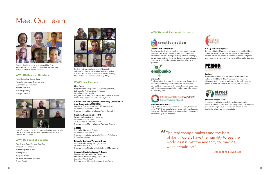#### **WWK UG Board of Directors**

Katali Estherloy *Board Chair* Petwa Kamusingize Rwomushoro Susan Nalugo *Secretary* Nakato Jamidah Nalukwago Milly Nakayiza Aminah



## Meet Our Team

#### **WWK Local Partners**

#### **Bliss Feme**

Kanyampara-Kamughobe 1; Nyabirongo Parish, Sub-county: Kisinga, District: Kasese Launched in January 2017 Program team: Ketty Bwambale, Jesca Biira, Solomon Bukundika, Priscilla Mbambu, Pelucy Baluku

#### **Albertine Rift and Kyaninga Community Conservation Area Organization (ARKCCAO)**

Kyaninga, Busoro Sub-County, Kabarole District Launched in November 2017 Program team: Simon Kateeba, Annet Katusabe

#### **Kisoboka Nano Initiative (KNI)**

Busega, Lubaga Division, Kampala Launched in June 2018 2020 women membership: 154 Program team: Mary Nakangu, Wanyana Angella

#### **ACCESS**

Nakaseke, Nakaseke District Launched in January 2019 Program team: Esterloy Katali, Florence Nakafeero, Namyalo Christine

#### **Bujagala Kisoboka Women's Group**

Lwamata Sub-County, Kiboga District Launched March 2020 Program team: Natujuna Ruth, Kabaami Maria Asira

#### **Abakyala Kisoboka Women's Group**

Kayunga Village, Mafubira Parish, Butembe City Sub-County, Jinja District Launched March 2021 Program team: Mutesi Shaminah, Jingo Docus

#### **WWK Network Partners** (in formation)



#### **Creative Action Institute**

Creative Action Institute catalyzes community-driven solutions that advance gender equality and build a sustainable planet. Through our experiential trainings, convenings, and coaching we develop creative leaders, build networks, and support grassroots advocacy globally.



The real change-makers and the best<br>philanthropists have the humility to se philanthropists have the humility to see the world as it is, yet the audacity to imagine what it could be."



#### **Ensibuuko**

Ensibuuko is a Ugandan fintech company that designs and implements digital products and services that connect the unbanked to the wider financial ecosystem with the knowledge needed to make sound decisions about using them.



#### **Empowerment Works**

Inspired by indigenous wisdom since 2001, Empowerment WORKS is a social change organization unleashing the power of collaboration in the relentless pursuit of a sustainable, just future for all.

#### **Girl Up Initiative Uganda**

Girl Up Initiative Uganda aims to educate and build the confidence of girls, women and youth through their holistic education, economic empowerment, and youth engagement programs in the slums of Kampala, Uganda.



#### **Period.**

Period @ Sacramento, CA Chapter works under the nationwide PERIOD, INC. Menstrual Movement to eliminate period poverty and stigma through the core pillars of PERIOD: service, education, and advocacy.



#### **Street Business School**

A poverty-eradication, global training organization, Street Business School looks to train partners to decrease poverty through a business training program and professional curriculum consultation.

#### **WWK US Board of Directors**

April Stone *Founder and President* Amelia Koch *Treasurer* Michael Epstein *Clerk* Eliza Epstein Margaret Houy Rebecca Namwase Ssemambo Ronda Zawel



—Jacqueline Novogratz



Top left: Katali Estherloy, Nalukwago Milly, Petwa Kamusingize Rwomushoro. Bottom left: Nalugo Susan, Nakayiza Aminah, Nakato Jamidah

Top Left: Marge Houy, April Stone, Michael Epstein. Middle Left: Ronda Zawel, Rebecca N. Ssemambo, Eliza Epstein. Bottom: Amelia Koch

Top left: Nakayiza Aminah, Mutesi Shaminah, Bukundika Solomon. Middle left: Madrama Richard, Natujuna Ruth, Kateeba Simon. Botton left: Nakangu Mary, Nakafeero Florence, Nalukwago Milly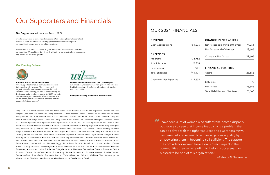Andy and Liz Albert • Rebecca Drill and Peter Alpert • Nina Handler Asnes • Anita Baglaneas • Sandra and Burt Berger • Carol Berman • Mark Berns • Toby Bernstein • D'Anne Bodman • Renee L. Bandon • Catherine Braun • Canada Family Fund • Linda Chin-Meher • Irene H. Chu • Elizabeth Graham Cook • Chis Curtis • Linda Cravens • Diddy and John Cullinane • Marga Dieta • Carol and Barry Eiden • Jeff Eiden • Lois Eisenstein • Margaret Ellertsen • Helen and Steven Epstein • Eliza Epstein • Marin Epstein • April Stone and Michael Epstein • Barbara Eskin • Janet Fine • Dana Fitchett • Debra Gevirtzman • Adrian Gianforti • Murray Gintis • Greg Hegerich • Alisha Houy • Margaret Houy • Michael Houy • Andrea Hyman • Nicole Jewell • Faith Johnson • Linda Jones • Corinne Kennelly • Collette King • Amelia Koch • Dr. Heidi B. Kummer • Karen Largent • Elaine Lasnik-Broida • Shannon Lavery • Sharon and Charles Letovsky • Bruce Levine • Phil Levine • Beth Lindstrom • Stephanie I Loeber • Eileen Logan • Paula Markgraf • Janine McGregor • Dr. Mark Melrose • Lauri Morris • Erin S. Murphey • Aisha Narmiiro • Rebecca Namwase • Nina Nielsen and John Baker • Debra Offenhartz • Victoria Ornstein • Florence Paradise • Kristen J. Pathuis • Suchitra Pattnaik • Susan Patuto • Justin Pierce • Malcolm Pittman • Peggy Richardson • Barbara Rinkoff and Ellen Murland • Denise Romano • Cindy Rubin and David Rodgers • I. Stephen Samuels • Johanna Schonmetzler • Suzanne Simonetti • Manasa Singamsetty • Susan and John Sokul • Lisa Spiegel • Rebecca Namwase Ssemambo • Graham Stephens • Patricia Stimpson • Debbie Stone-Tonelli • Kate Sutch • Andy Terris • Elizabeth C. Thomas • Maureen Tonelli • Devorah Toren • DeeDee Traul • Emily Turrettini • Joanna Vuille • Alexandra Solowij Watkins • Ellen Wineberg • Lisa Wolman • Joan Woodward • Andrea Urban • Lori Zawei • Julie Zawel • Ronda Zawel

## **REVENUE** Cash Contributions  $$61.07$ **EXPENSES** Programs  $$33,75$ Administration  $$6.81$ Fundraising \$90 Total Expenses  $$41,47$ Change in Net Expenses \$19,60

# Our Supporters and Financials

I have seen a lot of women who suffer from income disparity but have also seen that income inequality is a problem that can be solved with the right resources and awareness. WWK has been helping women to enhance gender equality by empowering them in becoming self-sufficient. The support they provide for women have a daily direct impact in the communities they serve leading to lifelong successes. I am blessed to be part of this organization." *"*

—Rebecca N. Ssemambo

## OUR 2021 FINANCIALS

| <b>CHANGE IN NET ASSETS</b>      |                 |
|----------------------------------|-----------------|
| Net Assets beginning of the year | \$4,061         |
| Net Assets end of the year       | \$23,666        |
| Change in Net Assets             | \$19,605        |
|                                  |                 |
|                                  |                 |
| <b>FINANCIAL POSITION</b>        |                 |
| Assets                           |                 |
| Liabilities                      | \$23,666<br>\$Ω |
| Net Assets                       | \$23,666        |

#### **Our Supporters** in formation, March 2022

Investing in women is high impact investing. Women bring the multiplier effect. We see it. WWK members are creating positive economies throughout communities that promise to benefit generations.

With Women Kisoboka continues to grow and impact the lives of women and communities. We could not do this work without the generosity of our supporters, and for this we are most grateful.

#### **Our Funding Partners**



**Arthur B. Schultz Foundation (ABSF)** ABSF supports alternative pathways to economic independence for women. They partner with organizations focused on entrepreneurship and vocational skills training, as well as seed funding for business creation and development. ABSF's vision is: "*A world with opportunities for all women to receive an education, assume leadership roles and achieve economic independence."*



Women International Leaders (WIL), Philadelphia WIL invests in underserved women globally who take the lead in becoming self-sufficient, elevating their families and communities.

**Anonymous Family Foundation, Massachusetts**